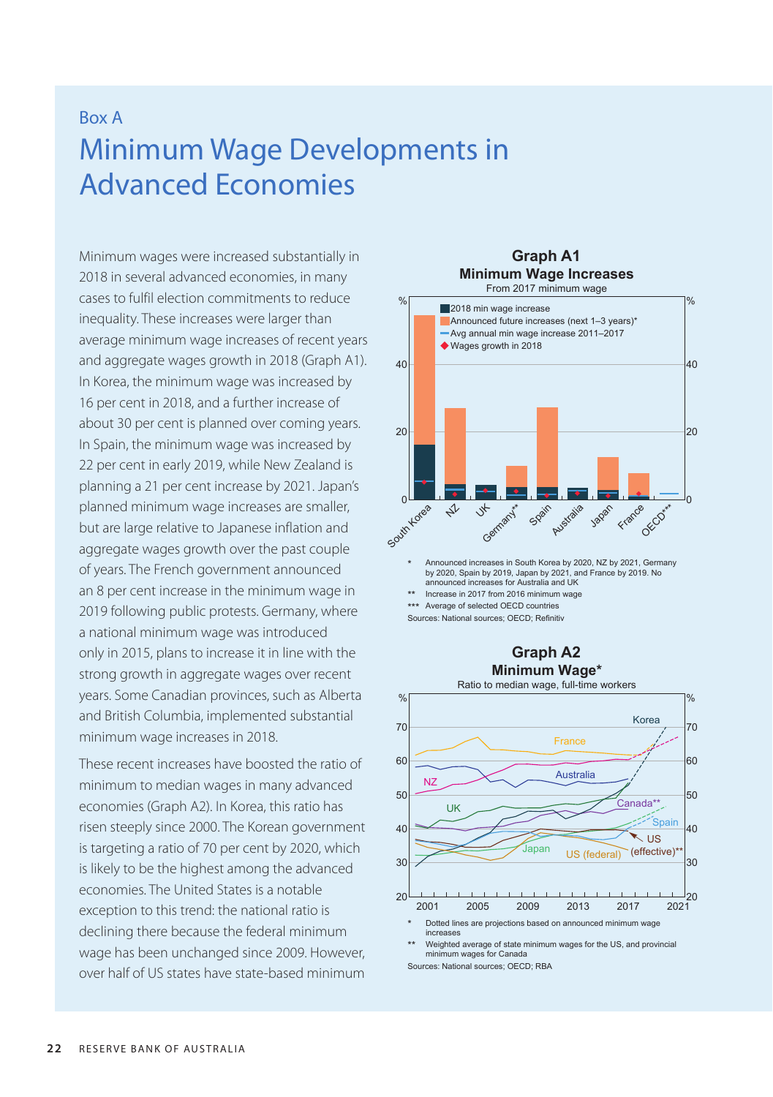## Box A Minimum Wage Developments in Advanced Economies

Minimum wages were increased substantially in 2018 in several advanced economies, in many cases to fulfil election commitments to reduce inequality. These increases were larger than average minimum wage increases of recent years and aggregate wages growth in 2018 (Graph A1). In Korea, the minimum wage was increased by 16 per cent in 2018, and a further increase of about 30 per cent is planned over coming years. In Spain, the minimum wage was increased by 22 per cent in early 2019, while New Zealand is planning a 21 per cent increase by 2021. Japan's planned minimum wage increases are smaller, but are large relative to Japanese inflation and aggregate wages growth over the past couple of years. The French government announced an 8 per cent increase in the minimum wage in 2019 following public protests. Germany, where a national minimum wage was introduced only in 2015, plans to increase it in line with the strong growth in aggregate wages over recent years. Some Canadian provinces, such as Alberta and British Columbia, implemented substantial minimum wage increases in 2018.

These recent increases have boosted the ratio of minimum to median wages in many advanced economies (Graph A2). In Korea, this ratio has risen steeply since 2000. The Korean government is targeting a ratio of 70 per cent by 2020, which is likely to be the highest among the advanced economies. The United States is a notable exception to this trend: the national ratio is declining there because the federal minimum wage has been unchanged since 2009. However, over half of US states have state-based minimum



**Graph A1**

\*\*\* Average of selected OECD countries

Sources: National sources; OECD; Refinitiv





Weighted average of state minimum wages for the US, and provincial minimum wages for Canada

Sources: National sources; OECD; RBA